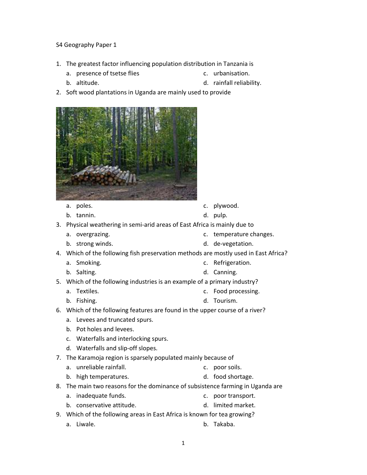## S4 Geography Paper 1

- 1. The greatest factor influencing population distribution in Tanzania is
	- a. presence of tsetse flies

c. urbanisation.

d. rainfall reliability.

- b. altitude.
- 2. Soft wood plantations in Uganda are mainly used to provide



- a. poles.
- b. tannin.

a. Smoking. b. Salting.

- c. plywood.
- d. pulp.
- 3. Physical weathering in semi-arid areas of East Africa is mainly due to
	- a. overgrazing. c. temperature changes.
	- b. strong winds. d. de-vegetation.
- 4. Which of the following fish preservation methods are mostly used in East Africa?
	- c. Refrigeration.
		- d. Canning.
- 5. Which of the following industries is an example of a primary industry?
	- a. Textiles. c. Food processing.
	- b. Fishing. d. Tourism.
- 6. Which of the following features are found in the upper course of a river?
	- a. Levees and truncated spurs.
	- b. Pot holes and levees.
	- c. Waterfalls and interlocking spurs.
	- d. Waterfalls and slip-off slopes.
- 7. The Karamoja region is sparsely populated mainly because of
	- a. unreliable rainfall. c. poor soils.
	- b. high temperatures. d. food shortage.
- 8. The main two reasons for the dominance of subsistence farming in Uganda are
	- a. inadequate funds. c. poor transport.
	- b. conservative attitude. d. limited market.
- 9. Which of the following areas in East Africa is known for tea growing?
	- a. Liwale. b. Takaba.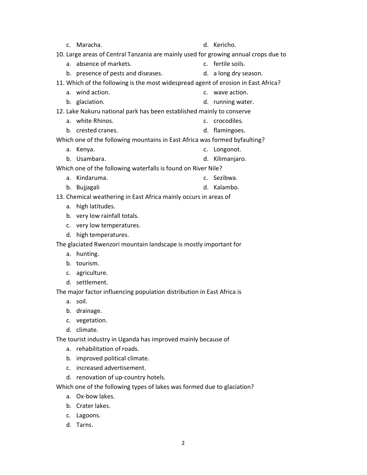|                                                                                     | c. Maracha.                        |    | d. Kericho.           |
|-------------------------------------------------------------------------------------|------------------------------------|----|-----------------------|
| 10. Large areas of Central Tanzania are mainly used for growing annual crops due to |                                    |    |                       |
| a <sub>z</sub>                                                                      | absence of markets.                |    | c. fertile soils.     |
|                                                                                     | b. presence of pests and diseases. |    | d. a long dry season. |
| 11. Which of the following is the most widespread agent of erosion in East Africa?  |                                    |    |                       |
|                                                                                     | a. wind action.                    |    | c. wave action.       |
|                                                                                     | b. glaciation.                     |    | d. running water.     |
| 12. Lake Nakuru national park has been established mainly to conserve               |                                    |    |                       |
|                                                                                     | a. white Rhinos.                   |    | c. crocodiles.        |
|                                                                                     | b. crested cranes.                 |    | d. flamingoes.        |
| Which one of the following mountains in East Africa was formed byfaulting?          |                                    |    |                       |
| а. -                                                                                | Kenya.                             |    | c. Longonot.          |
|                                                                                     | b. Usambara.                       | d. | Kilimanjaro.          |
| Which one of the following waterfalls is found on River Nile?                       |                                    |    |                       |
|                                                                                     | a. Kindaruma.                      |    | c. Sezibwa.           |
|                                                                                     | b. Bujjagali                       |    | d. Kalambo.           |
| 13. Chemical weathering in East Africa mainly occurs in areas of                    |                                    |    |                       |
| а.                                                                                  | high latitudes.                    |    |                       |
|                                                                                     | b. very low rainfall totals.       |    |                       |
|                                                                                     | c. very low temperatures.          |    |                       |
|                                                                                     | d. high temperatures.              |    |                       |
| The glaciated Rwenzori mountain landscape is mostly important for                   |                                    |    |                       |
|                                                                                     | a. hunting.                        |    |                       |
|                                                                                     | b. tourism.                        |    |                       |
|                                                                                     | c. agriculture.                    |    |                       |
|                                                                                     | d. settlement.                     |    |                       |
| The major factor influencing population distribution in East Africa is              |                                    |    |                       |
|                                                                                     | a. soil.                           |    |                       |
|                                                                                     | b. drainage.                       |    |                       |
| c.                                                                                  | vegetation.                        |    |                       |
|                                                                                     | d. climate.                        |    |                       |
| The tourist industry in Uganda has improved mainly because of                       |                                    |    |                       |
| а.                                                                                  | rehabilitation of roads.           |    |                       |
|                                                                                     | b. improved political climate.     |    |                       |
| c.                                                                                  | increased advertisement.           |    |                       |
| d. renovation of up-country hotels.                                                 |                                    |    |                       |
| Which one of the following types of lakes was formed due to glaciation?             |                                    |    |                       |
| a.                                                                                  | Ox-bow lakes.                      |    |                       |
|                                                                                     | b. Crater lakes.                   |    |                       |
|                                                                                     | c. Lagoons.                        |    |                       |

d. Tarns.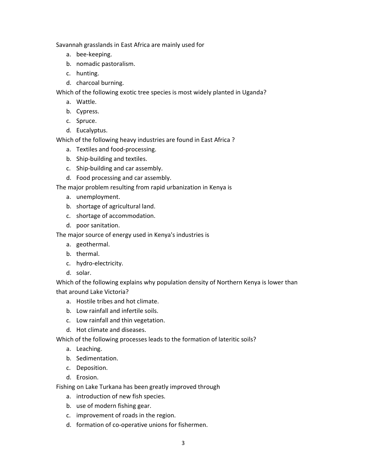Savannah grasslands in East Africa are mainly used for

- a. bee-keeping.
- b. nomadic pastoralism.
- c. hunting.
- d. charcoal burning.

Which of the following exotic tree species is most widely planted in Uganda?

- a. Wattle.
- b. Cypress.
- c. Spruce.
- d. Eucalyptus.

Which of the following heavy industries are found in East Africa ?

- a. Textiles and food-processing.
- b. Ship-building and textiles.
- c. Ship-building and car assembly.
- d. Food processing and car assembly.

The major problem resulting from rapid urbanization in Kenya is

- a. unemployment.
- b. shortage of agricultural land.
- c. shortage of accommodation.
- d. poor sanitation.

The major source of energy used in Kenya's industries is

- a. geothermal.
- b. thermal.
- c. hydro-electricity.
- d. solar.

Which of the following explains why population density of Northern Kenya is lower than that around Lake Victoria?

- a. Hostile tribes and hot climate.
- b. Low rainfall and infertile soils.
- c. Low rainfall and thin vegetation.
- d. Hot climate and diseases.

Which of the following processes leads to the formation of lateritic soils?

- a. Leaching.
- b. Sedimentation.
- c. Deposition.
- d. Erosion.

Fishing on Lake Turkana has been greatly improved through

- a. introduction of new fish species.
- b. use of modern fishing gear.
- c. improvement of roads in the region.
- d. formation of co-operative unions for fishermen.